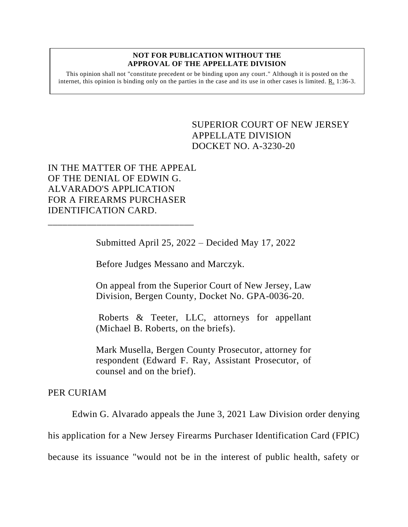## **NOT FOR PUBLICATION WITHOUT THE APPROVAL OF THE APPELLATE DIVISION**

This opinion shall not "constitute precedent or be binding upon any court." Although it is posted on the internet, this opinion is binding only on the parties in the case and its use in other cases is limited. R. 1:36-3.

## <span id="page-0-0"></span>SUPERIOR COURT OF NEW JERSEY APPELLATE DIVISION DOCKET NO. A-3230-20

IN THE MATTER OF THE APPEAL OF THE DENIAL OF EDWIN G. ALVARADO'S APPLICATION FOR A FIREARMS PURCHASER IDENTIFICATION CARD.

\_\_\_\_\_\_\_\_\_\_\_\_\_\_\_\_\_\_\_\_\_\_\_\_\_\_\_\_\_\_

Submitted April 25, 2022 – Decided May 17, 2022

Before Judges Messano and Marczyk.

On appeal from the Superior Court of New Jersey, Law Division, Bergen County, Docket No. GPA-0036-20.

Roberts & Teeter, LLC, attorneys for appellant (Michael B. Roberts, on the briefs).

Mark Musella, Bergen County Prosecutor, attorney for respondent (Edward F. Ray, Assistant Prosecutor, of counsel and on the brief).

## PER CURIAM

Edwin G. Alvarado appeals the June 3, 2021 Law Division order denying

his application for a New Jersey Firearms Purchaser Identification Card (FPIC)

because its issuance "would not be in the interest of public health, safety or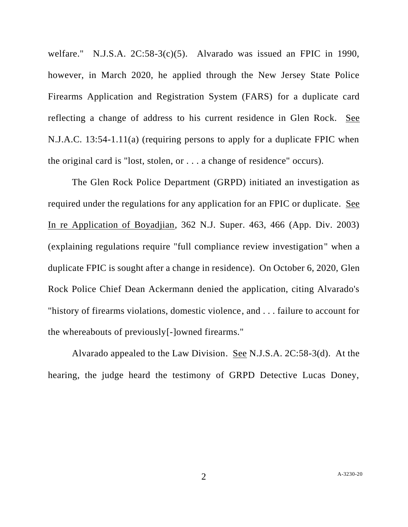welfare." N.J.S.A. 2C:58-3(c)(5). Alvarado was issued an FPIC in 1990, however, in March 2020, he applied through the New Jersey State Police Firearms Application and Registration System (FARS) for a duplicate card reflecting a change of address to his current residence in Glen Rock. See N.J.A.C. 13:54-1.11(a) (requiring persons to apply for a duplicate FPIC when the original card is "lost, stolen, or . . . a change of residence" occurs).

The Glen Rock Police Department (GRPD) initiated an investigation as required under the regulations for any application for an FPIC or duplicate. See In re Application of Boyadjian, 362 N.J. Super. 463, 466 (App. Div. 2003) (explaining regulations require "full compliance review investigation" when a duplicate FPIC is sought after a change in residence). On October 6, 2020, Glen Rock Police Chief Dean Ackermann denied the application, citing Alvarado's "history of firearms violations, domestic violence, and . . . failure to account for the whereabouts of previously[-]owned firearms."

Alvarado appealed to the Law Division. See N.J.S.A. 2C:58-3(d). At the hearing, the judge heard the testimony of GRPD Detective Lucas Doney,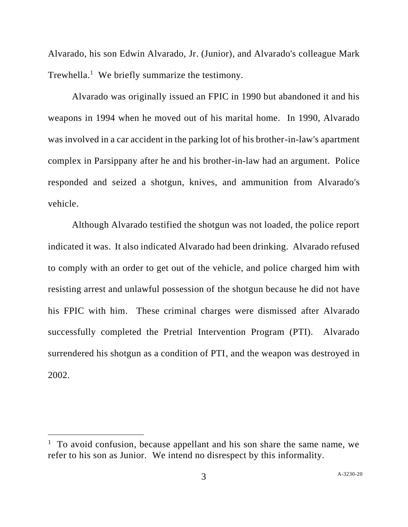Alvarado, his son Edwin Alvarado, Jr. (Junior), and Alvarado's colleague Mark Trewhella.<sup>1</sup> We briefly summarize the testimony.

Alvarado was originally issued an FPIC in 1990 but abandoned it and his weapons in 1994 when he moved out of his marital home. In 1990, Alvarado was involved in a car accident in the parking lot of his brother-in-law's apartment complex in Parsippany after he and his brother-in-law had an argument. Police responded and seized a shotgun, knives, and ammunition from Alvarado's vehicle.

Although Alvarado testified the shotgun was not loaded, the police report indicated it was. It also indicated Alvarado had been drinking. Alvarado refused to comply with an order to get out of the vehicle, and police charged him with resisting arrest and unlawful possession of the shotgun because he did not have his FPIC with him. These criminal charges were dismissed after Alvarado successfully completed the Pretrial Intervention Program (PTI). Alvarado surrendered his shotgun as a condition of PTI, and the weapon was destroyed in 2002.

<sup>&</sup>lt;sup>1</sup> To avoid confusion, because appellant and his son share the same name, we refer to his son as Junior. We intend no disrespect by this informality.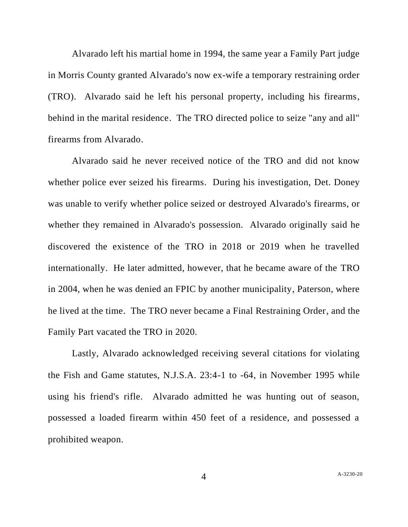Alvarado left his martial home in 1994, the same year a Family Part judge in Morris County granted Alvarado's now ex-wife a temporary restraining order (TRO). Alvarado said he left his personal property, including his firearms, behind in the marital residence. The TRO directed police to seize "any and all" firearms from Alvarado.

Alvarado said he never received notice of the TRO and did not know whether police ever seized his firearms. During his investigation, Det. Doney was unable to verify whether police seized or destroyed Alvarado's firearms, or whether they remained in Alvarado's possession. Alvarado originally said he discovered the existence of the TRO in 2018 or 2019 when he travelled internationally. He later admitted, however, that he became aware of the TRO in 2004, when he was denied an FPIC by another municipality, Paterson, where he lived at the time. The TRO never became a Final Restraining Order, and the Family Part vacated the TRO in 2020.

Lastly, Alvarado acknowledged receiving several citations for violating the Fish and Game statutes, N.J.S.A. 23:4-1 to -64, in November 1995 while using his friend's rifle. Alvarado admitted he was hunting out of season, possessed a loaded firearm within 450 feet of a residence, and possessed a prohibited weapon.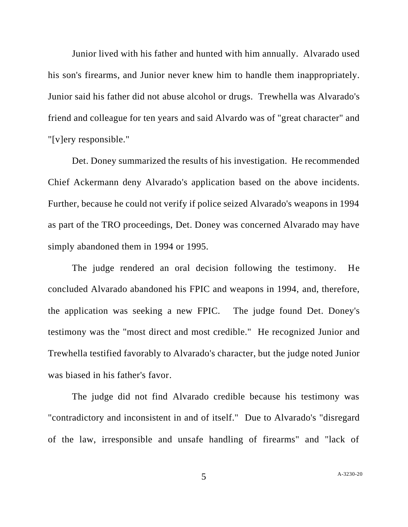Junior lived with his father and hunted with him annually. Alvarado used his son's firearms, and Junior never knew him to handle them inappropriately. Junior said his father did not abuse alcohol or drugs. Trewhella was Alvarado's friend and colleague for ten years and said Alvardo was of "great character" and "[v]ery responsible."

Det. Doney summarized the results of his investigation. He recommended Chief Ackermann deny Alvarado's application based on the above incidents. Further, because he could not verify if police seized Alvarado's weapons in 1994 as part of the TRO proceedings, Det. Doney was concerned Alvarado may have simply abandoned them in 1994 or 1995.

The judge rendered an oral decision following the testimony. He concluded Alvarado abandoned his FPIC and weapons in 1994, and, therefore, the application was seeking a new FPIC. The judge found Det. Doney's testimony was the "most direct and most credible." He recognized Junior and Trewhella testified favorably to Alvarado's character, but the judge noted Junior was biased in his father's favor.

The judge did not find Alvarado credible because his testimony was "contradictory and inconsistent in and of itself." Due to Alvarado's "disregard of the law, irresponsible and unsafe handling of firearms" and "lack of

5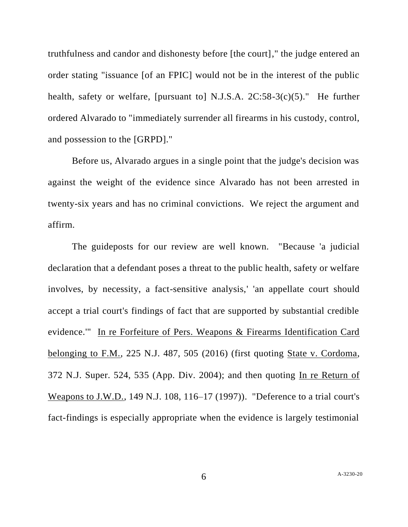truthfulness and candor and dishonesty before [the court]," the judge entered an order stating "issuance [of an FPIC] would not be in the interest of the public health, safety or welfare, [pursuant to] N.J.S.A. 2C:58-3(c)(5)." He further ordered Alvarado to "immediately surrender all firearms in his custody, control, and possession to the [GRPD]."

Before us, Alvarado argues in a single point that the judge's decision was against the weight of the evidence since Alvarado has not been arrested in twenty-six years and has no criminal convictions. We reject the argument and affirm.

The guideposts for our review are well known. "Because 'a judicial declaration that a defendant poses a threat to the public health, safety or welfare involves, by necessity, a fact-sensitive analysis,' 'an appellate court should accept a trial court's findings of fact that are supported by substantial credible evidence.'" In re Forfeiture of Pers. Weapons & Firearms Identification Card belonging to F.M., 225 N.J. 487, 505 (2016) (first quoting State v. Cordoma, 372 N.J. Super. 524, 535 (App. Div. 2004); and then quoting In re Return of Weapons to J.W.D., 149 N.J. 108, 116–17 (1997)). "Deference to a trial court's fact-findings is especially appropriate when the evidence is largely testimonial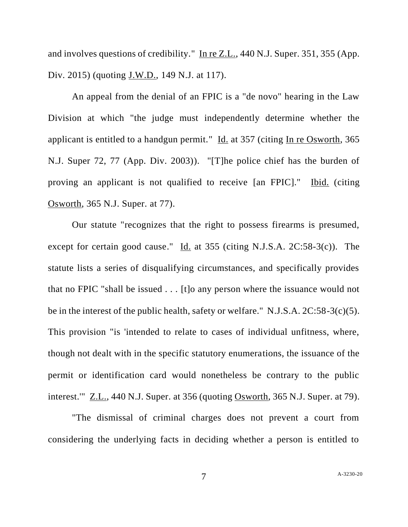and involves questions of credibility." In re Z.L., 440 N.J. Super. 351, 355 (App. Div. 2015) (quoting J.W.D., 149 N.J. at 117).

An appeal from the denial of an FPIC is a "de novo" hearing in the Law Division at which "the judge must independently determine whether the applicant is entitled to a handgun permit." Id. at 357 (citing In re Osworth, 365 N.J. Super 72, 77 (App. Div. 2003)). "[T]he police chief has the burden of proving an applicant is not qualified to receive [an FPIC]." Ibid. (citing Osworth, 365 N.J. Super. at 77).

Our statute "recognizes that the right to possess firearms is presumed, except for certain good cause." Id. at 355 (citing N.J.S.A. 2C:58-3(c)). The statute lists a series of disqualifying circumstances, and specifically provides that no FPIC "shall be issued . . . [t]o any person where the issuance would not be in the interest of the public health, safety or welfare." N.J.S.A. 2C:58-3(c)(5). This provision "is 'intended to relate to cases of individual unfitness, where, though not dealt with in the specific statutory enumerations, the issuance of the permit or identification card would nonetheless be contrary to the public interest.'" Z.L., 440 N.J. Super. at 356 (quoting Osworth, 365 N.J. Super. at 79).

"The dismissal of criminal charges does not prevent a court from considering the underlying facts in deciding whether a person is entitled to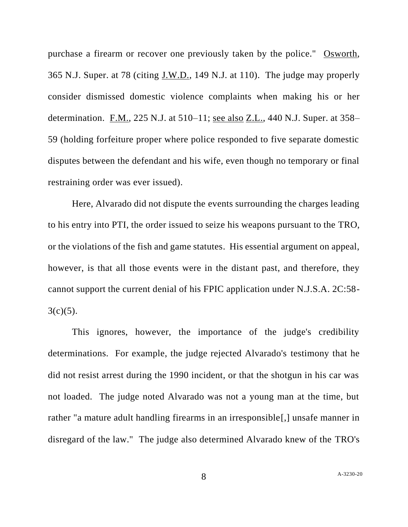purchase a firearm or recover one previously taken by the police." Osworth, 365 N.J. Super. at 78 (citing J.W.D., 149 N.J. at 110). The judge may properly consider dismissed domestic violence complaints when making his or her determination. F.M., 225 N.J. at 510–11; see also Z.L., 440 N.J. Super. at 358– 59 (holding forfeiture proper where police responded to five separate domestic disputes between the defendant and his wife, even though no temporary or final restraining order was ever issued).

Here, Alvarado did not dispute the events surrounding the charges leading to his entry into PTI, the order issued to seize his weapons pursuant to the TRO, or the violations of the fish and game statutes. His essential argument on appeal, however, is that all those events were in the distant past, and therefore, they cannot support the current denial of his FPIC application under N.J.S.A. 2C:58-  $3(c)(5)$ .

This ignores, however, the importance of the judge's credibility determinations. For example, the judge rejected Alvarado's testimony that he did not resist arrest during the 1990 incident, or that the shotgun in his car was not loaded. The judge noted Alvarado was not a young man at the time, but rather "a mature adult handling firearms in an irresponsible[,] unsafe manner in disregard of the law." The judge also determined Alvarado knew of the TRO's